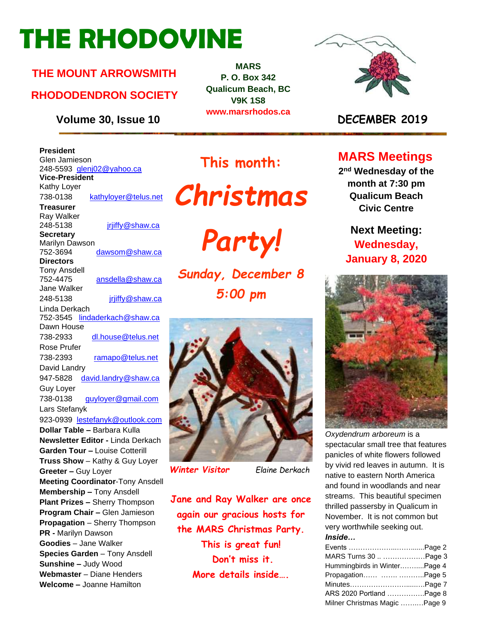# **THE RHODOVINE**

#### **THE MOUNT ARROWSMITH**

#### **RHODODENDRON SOCIETY**

**Volume 30, Issue 10 DECEMBER 2019**

**MARS P. O. Box 342 Qualicum Beach, BC V9K 1S8 www.marsrhodos.ca**



#### **President** Glen Jamieson 248-5593 gleni02@yahoo.ca **Vice-President** Kathy Loyer 738-0138 [kathyloyer@telus.net](mailto:kathyloyer@telus.net) **Treasurer** Ray Walker 248-5138 **jriiffy@shaw.ca Secretary** Marilyn Dawson 752-3694 dawsom@shaw.ca **Directors**  Tony Ansdell 752-4475 [ansdella@shaw.ca](mailto:ansdella@shaw.ca) Jane Walker 248-5138 [jrjiffy@shaw.ca](mailto:jrjiffy@shaw.ca) Linda Derkach 752-3545 [lindaderkach@shaw.ca](mailto:lindaderkach@shaw.ca) Dawn House 738-2933 [dl.house@telus.net](mailto:dl.house@telus.net) Rose Prufer 738-2393 [ramapo@telus.net](mailto:ramapo@telus.net) David Landry 947-5828 [david.landry@shaw.ca](mailto:david.landry@shaw.ca) Guy Loyer 738-0138 [guyloyer@gmail.com](mailto:guyloyer@gmail.com) Lars Stefanyk 923-0939 [lestefanyk@outlook.com](mailto:lestefanyk@outlook.com) **Dollar Table –** Barbara Kulla **Newsletter Editor -** Linda Derkach **Garden Tour –** Louise Cotterill **Truss Show** – Kathy & Guy Loyer **Greeter –** Guy Loyer **Meeting Coordinator**-Tony Ansdell **Membership –** Tony Ansdell **Plant Prizes –** Sherry Thompson **Program Chair –** Glen Jamieson **Propagation** – Sherry Thompson **PR -** Marilyn Dawson **Goodies** – Jane Walker **Species Garden** – Tony Ansdell **Sunshine –** Judy Wood **Webmaster** – Diane Henders **Welcome –** Joanne Hamilton

## **This month:**





*Sunday, December 8 5:00 pm* 



#### *Winter Visitor Elaine Derkach*

**Jane and Ray Walker are once again our gracious hosts for the MARS Christmas Party. This is great fun! Don't miss it. More details inside….**

#### **MARS Meetings**

**2 nd Wednesday of the month at 7:30 pm Qualicum Beach Civic Centre**

### **Next Meeting: Wednesday, January 8, 2020**



*Oxydendrum arboreum* is a spectacular small tree that features panicles of white flowers followed by vivid red leaves in autumn. It is native to eastern North America and found in woodlands and near streams. This beautiful specimen thrilled passersby in Qualicum in November. It is not common but very worthwhile seeking out. *Inside…*

| MARS Turns 30  Page 3          |  |
|--------------------------------|--|
| Hummingbirds in WinterPage 4   |  |
| Propagation  Page 5            |  |
|                                |  |
| ARS 2020 Portland Page 8       |  |
| Milner Christmas Magic  Page 9 |  |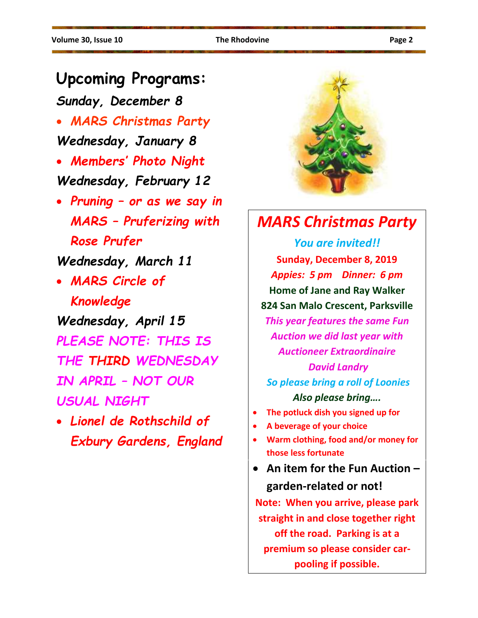### **Upcoming Programs:**

*Sunday, December 8*

• *MARS Christmas Party*

*Wednesday, January 8*

- *Members' Photo Night Wednesday, February 12*
- *Pruning – or as we say in MARS – Pruferizing with Rose Prufer*

*Wednesday, March 11*

• *MARS Circle of Knowledge*

*Wednesday, April 15 PLEASE NOTE: THIS IS THE THIRD WEDNESDAY IN APRIL – NOT OUR USUAL NIGHT*

• *Lionel de Rothschild of Exbury Gardens, England*



## *MARS Christmas Party*

*You are invited!!* **Sunday, December 8, 2019** *Appies: 5 pm Dinner: 6 pm* **Home of Jane and Ray Walker 824 San Malo Crescent, Parksville** *This year features the same Fun Auction we did last year with Auctioneer Extraordinaire David Landry So please bring a roll of Loonies Also please bring….*

- **The potluck dish you signed up for**
- **A beverage of your choice**
- **Warm clothing, food and/or money for those less fortunate**
- **An item for the Fun Auction – garden-related or not!**

**Note: When you arrive, please park straight in and close together right off the road. Parking is at a premium so please consider carpooling if possible.**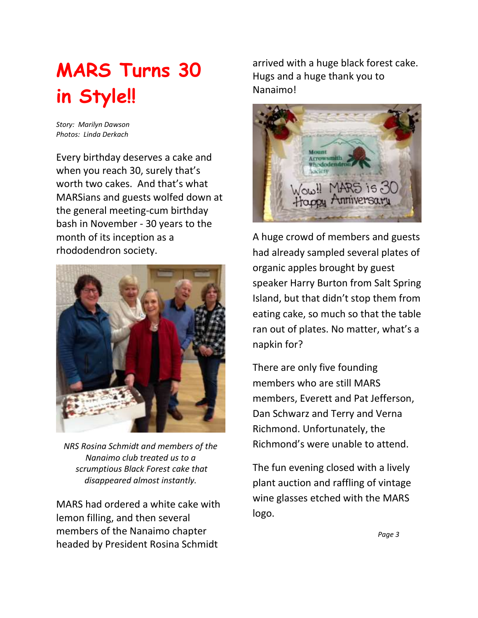# **MARS Turns 30 in Style!!**

*Story: Marilyn Dawson Photos: Linda Derkach*

Every birthday deserves a cake and when you reach 30, surely that's worth two cakes. And that's what MARSians and guests wolfed down at the general meeting-cum birthday bash in November - 30 years to the month of its inception as a rhododendron society.



*NRS Rosina Schmidt and members of the Nanaimo club treated us to a scrumptious Black Forest cake that disappeared almost instantly.*

MARS had ordered a white cake with lemon filling, and then several members of the Nanaimo chapter headed by President Rosina Schmidt

arrived with a huge black forest cake. Hugs and a huge thank you to Nanaimo!



A huge crowd of members and guests had already sampled several plates of organic apples brought by guest speaker Harry Burton from Salt Spring Island, but that didn't stop them from eating cake, so much so that the table ran out of plates. No matter, what's a napkin for?

There are only five founding members who are still MARS members, Everett and Pat Jefferson, Dan Schwarz and Terry and Verna Richmond. Unfortunately, the Richmond's were unable to attend.

The fun evening closed with a lively plant auction and raffling of vintage wine glasses etched with the MARS logo.

 *Page 3*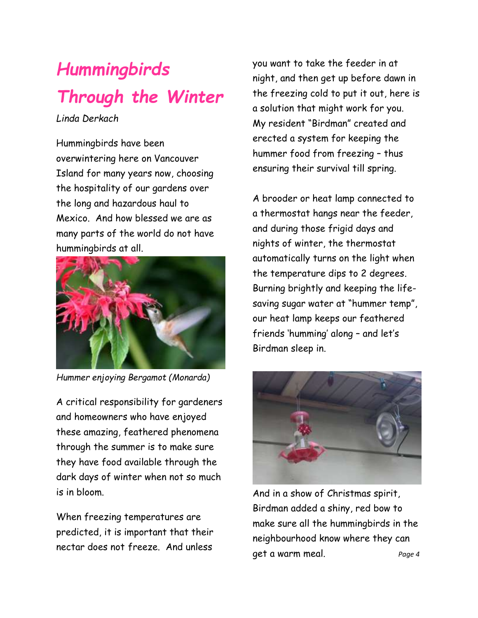# *Hummingbirds Through the Winter*

*Linda Derkach*

Hummingbirds have been overwintering here on Vancouver Island for many years now, choosing the hospitality of our gardens over the long and hazardous haul to Mexico. And how blessed we are as many parts of the world do not have hummingbirds at all.



*Hummer enjoying Bergamot (Monarda)*

A critical responsibility for gardeners and homeowners who have enjoyed these amazing, feathered phenomena through the summer is to make sure they have food available through the dark days of winter when not so much is in bloom.

When freezing temperatures are predicted, it is important that their nectar does not freeze. And unless

you want to take the feeder in at night, and then get up before dawn in the freezing cold to put it out, here is a solution that might work for you. My resident "Birdman" created and erected a system for keeping the hummer food from freezing – thus ensuring their survival till spring.

A brooder or heat lamp connected to a thermostat hangs near the feeder, and during those frigid days and nights of winter, the thermostat automatically turns on the light when the temperature dips to 2 degrees. Burning brightly and keeping the lifesaving sugar water at "hummer temp", our heat lamp keeps our feathered friends 'humming' along – and let's Birdman sleep in.



And in a show of Christmas spirit, Birdman added a shiny, red bow to make sure all the hummingbirds in the neighbourhood know where they can get a warm meal. *Page 4*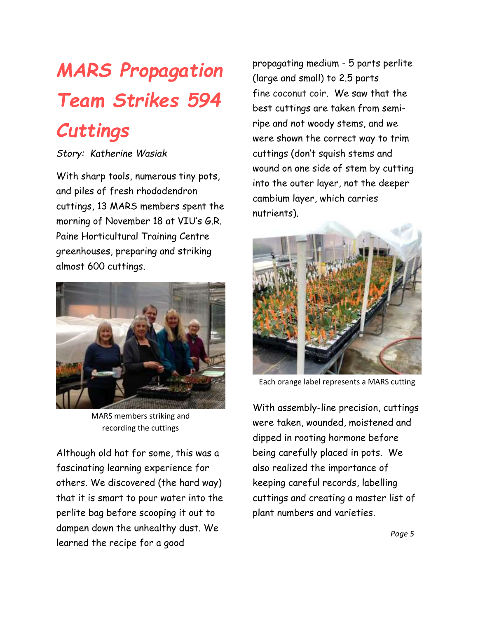# *MARS Propagation Team Strikes 594 Cuttings*

#### *Story: Katherine Wasiak*

With sharp tools, numerous tiny pots, and piles of fresh rhododendron cuttings, 13 MARS members spent the morning of November 18 at VIU's G.R. Paine Horticultural Training Centre greenhouses, preparing and striking almost 600 cuttings.



MARS members striking and recording the cuttings

Although old hat for some, this was a fascinating learning experience for others. We discovered (the hard way) that it is smart to pour water into the perlite bag before scooping it out to dampen down the unhealthy dust. We learned the recipe for a good

propagating medium - 5 parts perlite (large and small) to 2.5 parts fine coconut coir. We saw that the best cuttings are taken from semiripe and not woody stems, and we were shown the correct way to trim cuttings (don't squish stems and wound on one side of stem by cutting into the outer layer, not the deeper cambium layer, which carries nutrients).



Each orange label represents a MARS cutting

With assembly-line precision, cuttings were taken, wounded, moistened and dipped in rooting hormone before being carefully placed in pots. We also realized the importance of keeping careful records, labelling cuttings and creating a master list of plant numbers and varieties.

 *Page 5*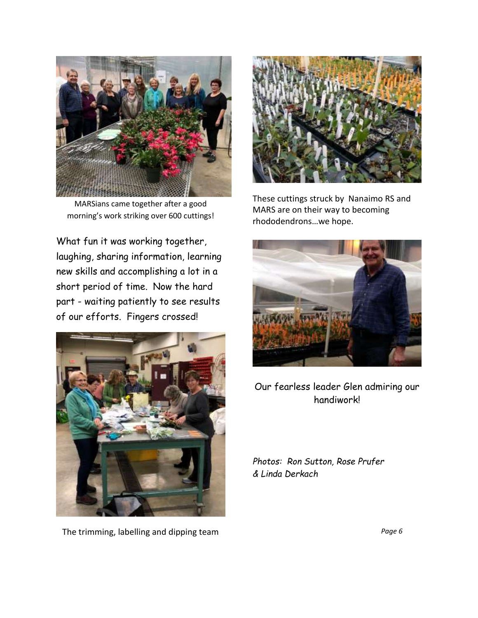

MARSians came together after a good morning's work striking over 600 cuttings!

What fun it was working together, laughing, sharing information, learning new skills and accomplishing a lot in a short period of time. Now the hard part - waiting patiently to see results of our efforts. Fingers crossed!



The trimming, labelling and dipping team *Page 6*



These cuttings struck by Nanaimo RS and MARS are on their way to becoming rhododendrons…we hope.



Our fearless leader Glen admiring our handiwork!

*Photos: Ron Sutton, Rose Prufer & Linda Derkach*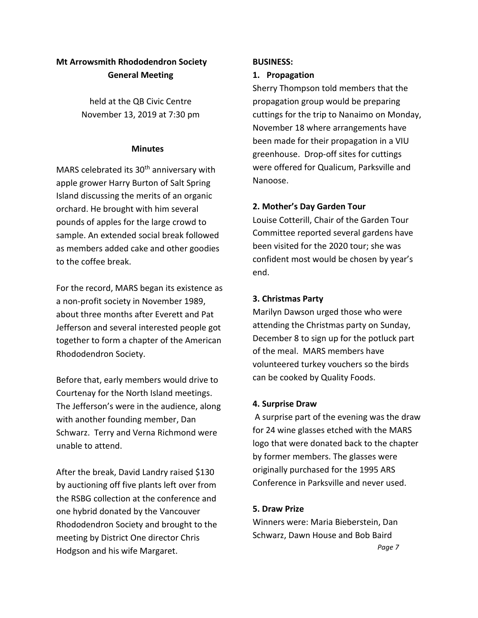#### **Mt Arrowsmith Rhododendron Society General Meeting**

held at the QB Civic Centre November 13, 2019 at 7:30 pm

#### **Minutes**

MARS celebrated its 30<sup>th</sup> anniversary with apple grower Harry Burton of Salt Spring Island discussing the merits of an organic orchard. He brought with him several pounds of apples for the large crowd to sample. An extended social break followed as members added cake and other goodies to the coffee break.

For the record, MARS began its existence as a non-profit society in November 1989, about three months after Everett and Pat Jefferson and several interested people got together to form a chapter of the American Rhododendron Society.

Before that, early members would drive to Courtenay for the North Island meetings. The Jefferson's were in the audience, along with another founding member, Dan Schwarz. Terry and Verna Richmond were unable to attend.

After the break, David Landry raised \$130 by auctioning off five plants left over from the RSBG collection at the conference and one hybrid donated by the Vancouver Rhododendron Society and brought to the meeting by District One director Chris Hodgson and his wife Margaret.

#### **BUSINESS:**

#### **1. Propagation**

Sherry Thompson told members that the propagation group would be preparing cuttings for the trip to Nanaimo on Monday, November 18 where arrangements have been made for their propagation in a VIU greenhouse. Drop-off sites for cuttings were offered for Qualicum, Parksville and Nanoose.

#### **2. Mother's Day Garden Tour**

Louise Cotterill, Chair of the Garden Tour Committee reported several gardens have been visited for the 2020 tour; she was confident most would be chosen by year's end.

#### **3. Christmas Party**

Marilyn Dawson urged those who were attending the Christmas party on Sunday, December 8 to sign up for the potluck part of the meal. MARS members have volunteered turkey vouchers so the birds can be cooked by Quality Foods.

#### **4. Surprise Draw**

A surprise part of the evening was the draw for 24 wine glasses etched with the MARS logo that were donated back to the chapter by former members. The glasses were originally purchased for the 1995 ARS Conference in Parksville and never used.

#### **5. Draw Prize**

Winners were: Maria Bieberstein, Dan Schwarz, Dawn House and Bob Baird  *Page 7*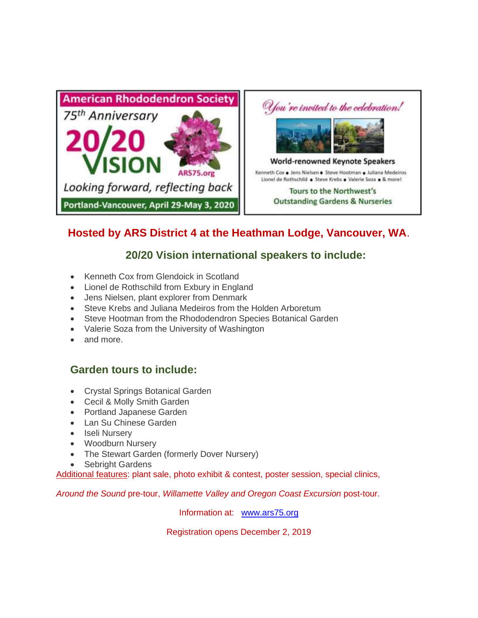

### **Hosted by ARS District 4 at the Heathman Lodge, Vancouver, WA**.

#### **20/20 Vision international speakers to include:**

- Kenneth Cox from Glendoick in Scotland
- Lionel de Rothschild from Exbury in England
- Jens Nielsen, plant explorer from Denmark
- Steve Krebs and Juliana Medeiros from the Holden Arboretum
- Steve Hootman from the Rhododendron Species Botanical Garden
- Valerie Soza from the University of Washington
- and more.

#### **Garden tours to include:**

- Crystal Springs Botanical Garden
- Cecil & Molly Smith Garden
- Portland Japanese Garden
- Lan Su Chinese Garden
- Iseli Nursery
- Woodburn Nursery
- The Stewart Garden (formerly Dover Nursery)
- Sebright Gardens

Additional features: plant sale, photo exhibit & contest, poster session, special clinics,

*Around the Sound* pre-tour, *Willamette Valley and Oregon Coast Excursion* post-tour.

Information at: [www.ars75.org](http://www.ars75.org/)

Registration opens December 2, 2019